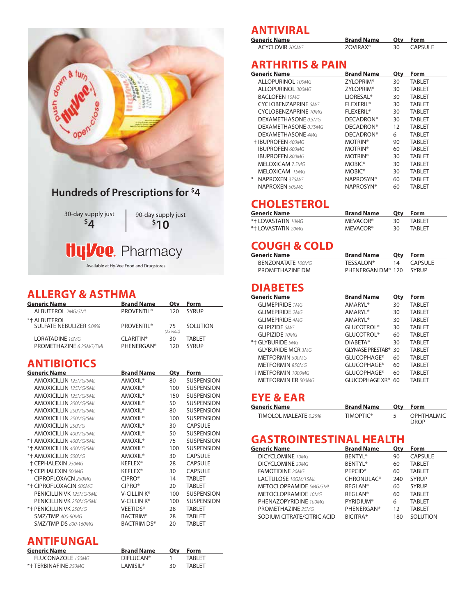

### **ALLERGY & ASTHMA**

| <b>Generic Name</b>                            | <b>Brand Name</b>             | Otv                        | Form            |
|------------------------------------------------|-------------------------------|----------------------------|-----------------|
| <b>ALBUTEROL 2MG/5ML</b>                       | <b>PROVENTIL®</b>             | 120                        | <b>SYRUP</b>    |
| *+ ALBUTEROL<br><b>SULFATE NEBULIZER 0.08%</b> | <b>PROVENTII</b> <sup>®</sup> | 75<br>$(25 \text{ vials})$ | <b>SOLUTION</b> |
| <b>LORATADINE 10MG</b>                         | <b>CLARITIN®</b>              | 30                         | TARI FT         |
| PROMETHAZINE 6.25MG/5ML                        | <b>PHFNFRGAN®</b>             | 120                        | SYRUP           |

## **ANTIBIOTICS**

| <b>Generic Name</b>            | <b>Brand Name</b>         | <b>Qty</b> | Form              |
|--------------------------------|---------------------------|------------|-------------------|
| <b>AMOXICILLIN</b> 125MG/5ML   | AMOXIL <sup>®</sup>       | 80         | <b>SUSPENSION</b> |
| <b>AMOXICILLIN</b> 125MG/5MI   | <b>AMOXIL®</b>            | 100        | <b>SUSPENSION</b> |
| <b>AMOXICILLIN</b> 125MG/5ML   | AMOXIL <sup>®</sup>       | 150        | <b>SUSPENSION</b> |
| <b>AMOXICILLIN</b> 200MG/5MI   | AMOXIL <sup>®</sup>       | 50         | <b>SUSPENSION</b> |
| <b>AMOXICILLIN 250MG/5MI</b>   | <b>AMOXIL®</b>            | 80         | <b>SUSPENSION</b> |
| <b>AMOXICILLIN 250MG/5ML</b>   | <b>AMOXIL®</b>            | 100        | <b>SUSPENSION</b> |
| <b>AMOXICILLIN 250MG</b>       | <b>AMOXIL®</b>            | 30         | <b>CAPSULE</b>    |
| <b>AMOXICILLIN 400MG/5MI</b>   | <b>AMOXIL®</b>            | 50         | <b>SUSPENSION</b> |
| *† AMOXICILLIN 400MG/5ML       | AMOXIL <sup>®</sup>       | 75         | <b>SUSPENSION</b> |
| *† AMOXICILLIN 400MG/5ML       | AMOXIL <sup>®</sup>       | 100        | <b>SUSPENSION</b> |
| *+ AMOXICILLIN 500MG           | <b>AMOXIL®</b>            | 30         | CAPSULE           |
| <b>+ CEPHALEXIN 250MG</b>      | <b>KEFLEX<sup>®</sup></b> | 28         | <b>CAPSULE</b>    |
| *† CEPHALEXIN 500MG            | <b>KEFLEX<sup>®</sup></b> | 30         | <b>CAPSULE</b>    |
| <b>CIPROFLOXACN 250MG</b>      | CIPRO <sup>®</sup>        | 14         | <b>TABLET</b>     |
| *+ CIPROFLOXACIN 500MG         | CIPRO <sup>®</sup>        | 20         | <b>TABLET</b>     |
| PENICILLIN VK 125MG/5MI        | V-CILLIN K <sup>®</sup>   | 100        | <b>SUSPENSION</b> |
| <b>PENICILLIN VK 250MG/5MI</b> | V-CILLIN K®               | 100        | <b>SUSPENSION</b> |
| *† PENICILLIN VK 250MG         | <b>VEETIDS®</b>           | 28         | <b>TABLET</b>     |
| <b>SMZ/TMP</b> 400-80MG        | <b>BACTRIM®</b>           | 28         | <b>TABLET</b>     |
| <b>SMZ/TMP DS 800-160MG</b>    | BACTRIM DS®               | 20         | <b>TABLET</b>     |
|                                |                           |            |                   |

## **ANTIFUNGAL**

| <b>Generic Name</b>      | <b>Brand Name</b>      | Otv | Form           |
|--------------------------|------------------------|-----|----------------|
| <b>FLUCONAZOLE</b> 150MG | DIFILICAN <sup>®</sup> |     | TARI FT        |
| *+ TERBINAFINE 250MG     | I AMISII ®             | 30  | <b>TARI FT</b> |

## **ANTIVIRAL**

| <b>Generic Name</b>    | <b>Brand Name</b>    | Otv | Form    |
|------------------------|----------------------|-----|---------|
| <b>ACYCLOVIR</b> 200MG | ZOVIRAX <sup>®</sup> |     | CAPSULE |

### **ARTHRITIS & PAIN**

| <b>Generic Name</b>         | <b>Brand Name</b>           | Qty | Form          |
|-----------------------------|-----------------------------|-----|---------------|
| <b>ALLOPURINOL 100MG</b>    | ZYLOPRIM <sup>®</sup>       | 30  | <b>TABLET</b> |
| <b>ALLOPURINOL 300MG</b>    | ZYLOPRIM <sup>®</sup>       | 30  | <b>TABLET</b> |
| <b>BACLOFEN 10MG</b>        | <b>LIORESAL<sup>®</sup></b> | 30  | <b>TABLET</b> |
| <b>CYCLOBENZAPRINE</b> 5MG  | <b>FLEXERIL®</b>            | 30  | <b>TABLET</b> |
| <b>CYCLOBENZAPRINE</b> 10MG | <b>FLEXERIL®</b>            | 30  | <b>TABLET</b> |
| <b>DEXAMETHASONE</b> 0.5MG  | <b>DECADRON®</b>            | 30  | <b>TABLET</b> |
| <b>DEXAMETHASONE</b> 0.75MG | <b>DECADRON®</b>            | 12  | <b>TABLET</b> |
| <b>DEXAMETHASONE 4MG</b>    | <b>DECADRON®</b>            | 6   | <b>TABLET</b> |
| + IBUPROFEN 400MG           | <b>MOTRIN®</b>              | 90  | <b>TABLET</b> |
| <b>IBUPROFEN 600MG</b>      | <b>MOTRIN®</b>              | 60  | <b>TABLET</b> |
| <b>IBUPROFEN 800MG</b>      | <b>MOTRIN®</b>              | 30  | <b>TABLET</b> |
| <b>MELOXICAM 7.5MG</b>      | MOBIC <sup>®</sup>          | 30  | <b>TABLET</b> |
| MELOXICAM 15MG              | MOBIC <sup>®</sup>          | 30  | <b>TABLET</b> |
| <b>NAPROXEN 375MG</b><br>₩  | <b>NAPROSYN®</b>            | 60  | <b>TABLET</b> |
| <b>NAPROXEN</b> 500MG       | <b>NAPROSYN®</b>            | 60  | <b>TABLET</b> |

### **CHOLESTEROL**

| Generic Name       | <b>Brand Name</b> | Otv | Form           |
|--------------------|-------------------|-----|----------------|
| *† LOVASTATIN 10MG | <b>MEVACOR®</b>   | 30  | TARI FT        |
| *† LOVASTATIN 20MG | <b>MEVACOR®</b>   | 30  | <b>TARI FT</b> |

### **COUGH & COLD**

| Generic Name             | <b>Brand Name</b>             | Otv | Form           |
|--------------------------|-------------------------------|-----|----------------|
| <b>BENZONATATE</b> 100MG | TESSAI ON®                    | 14  | <b>CAPSULF</b> |
| PROMETHAZINE DM          | PHENERGAN DM <sup>®</sup> 120 |     | SYRUP          |

## **DIABETES**

| Generic Name              | <b>Brand Name</b>               | Qty | Form          |
|---------------------------|---------------------------------|-----|---------------|
| <b>GLIMEPIRIDE 1MG</b>    | AMARYL <sup>®</sup>             | 30  | <b>TABLET</b> |
| <b>GLIMEPIRIDE 2MG</b>    | <b>AMARYL<sup>®</sup></b>       | 30  | <b>TABLET</b> |
| <b>GLIMEPIRIDE 4MG</b>    | <b>AMARYL<sup>®</sup></b>       | 30  | <b>TABLET</b> |
| <b>GLIPIZIDE 5MG</b>      | <b>GLUCOTROL®</b>               | 30  | <b>TABLET</b> |
| <b>GLIPIZIDE</b> 10MG     | <b>GLUCOTROL®</b>               | 60  | <b>TABLET</b> |
| *† GLYBURIDE 5MG          | <b>DIABETA®</b>                 | 30  | <b>TABLET</b> |
| <b>GLYBURIDE MCR 3MG</b>  | GLYNASE PRESTAB <sup>®</sup> 30 |     | <b>TABLET</b> |
| <b>METFORMIN 500MG</b>    | <b>GLUCOPHAGE®</b>              | 60  | <b>TABLET</b> |
| <b>METFORMIN 850MG</b>    | <b>GLUCOPHAGE®</b>              | 60  | <b>TABLET</b> |
| + METFORMIN 1000MG        | <b>GLUCOPHAGE®</b>              | 60  | <b>TABLET</b> |
| <b>METFORMIN ER 500MG</b> | <b>GLUCOPHAGE XR®</b>           | 60  | <b>TABLET</b> |
|                           |                                 |     |               |
| -- <i>-</i> ---           |                                 |     |               |

# **EYE & EAR**

| Generic Name                 | <b>Brand Name</b> | Otv | Form                             |
|------------------------------|-------------------|-----|----------------------------------|
| <b>TIMOLOL MALEATE 0.25%</b> | <b>TIMOPTIC®</b>  |     | <b>OPHTHALMIC</b><br><b>DROP</b> |

# **GASTROINTESTINAL HEALTH**<br> **Generic Name**<br> **Brand Name**

| Generic Name                  | <b>Brand Name</b>         | Qty | Form            |
|-------------------------------|---------------------------|-----|-----------------|
| <b>DICYCLOMINE</b> 10MG       | <b>BENTYL<sup>®</sup></b> | 90  | <b>CAPSULE</b>  |
| <b>DICYCLOMINE</b> 20MG       | <b>BENTYL<sup>®</sup></b> | 60  | <b>TABLET</b>   |
| <b>FAMOTIDINE</b> 20MG        | <b>PEPCID<sup>®</sup></b> | 60  | <b>TABLET</b>   |
| LACTULOSE 10GM/15ML           | CHRONULAC <sup>®</sup>    | 240 | <b>SYRUP</b>    |
| <b>METOCLOPRAMIDE</b> 5MG/5ML | <b>REGLAN®</b>            | 60  | <b>SYRUP</b>    |
| <b>METOCLOPRAMIDE</b> 10MG    | <b>REGLAN®</b>            | 60  | <b>TABLET</b>   |
| PHENAZOPYRIDINE 100MG         | <b>PYRIDIUM®</b>          | 6   | <b>TABLET</b>   |
| <b>PROMETHAZINE 25MG</b>      | <b>PHENERGAN®</b>         | 12  | <b>TABLET</b>   |
| SODIUM CITRATE/CITRIC ACID    | <b>BICITRA®</b>           | 180 | <b>SOLUTION</b> |